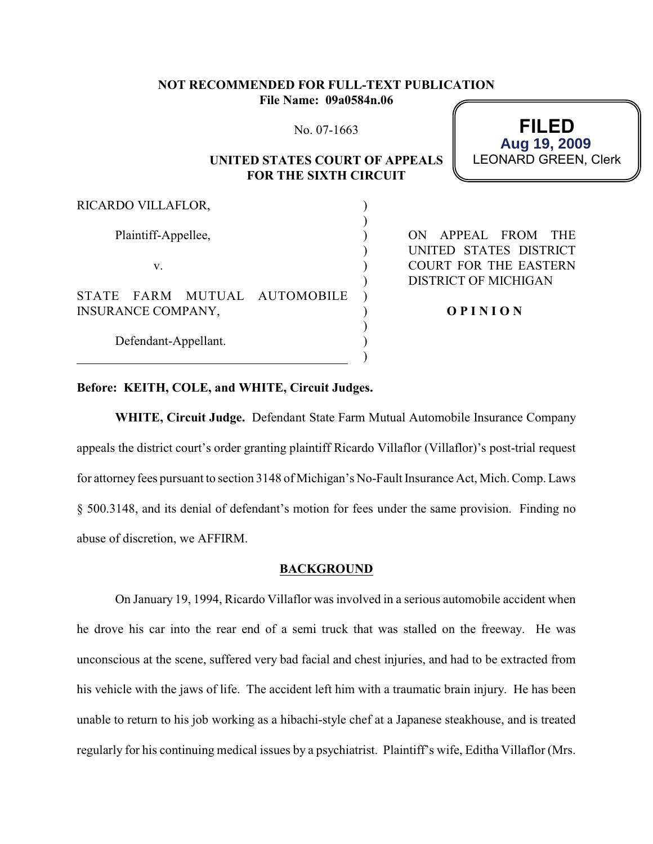### **NOT RECOMMENDED FOR FULL-TEXT PUBLICATION File Name: 09a0584n.06**

No. 07-1663

### **UNITED STATES COURT OF APPEALS FOR THE SIXTH CIRCUIT**

) ) ) ) ) ) ) ) ) ) )

**FILED** LEONARD GREEN, Clerk **Aug 19, 2009**

RICARDO VILLAFLOR,

Plaintiff-Appellee,

v.

Defendant-Appellant.

STATE FARM MUTUAL AUTOMOBILE INSURANCE COMPANY,

ON APPEAL FROM THE UNITED STATES DISTRICT COURT FOR THE EASTERN DISTRICT OF MICHIGAN

**O P I N I O N**

# **Before: KEITH, COLE, and WHITE, Circuit Judges.**

**WHITE, Circuit Judge.** Defendant State Farm Mutual Automobile Insurance Company appeals the district court's order granting plaintiff Ricardo Villaflor (Villaflor)'s post-trial request for attorney fees pursuant to section 3148 of Michigan's No-Fault Insurance Act, Mich. Comp. Laws § 500.3148, and its denial of defendant's motion for fees under the same provision. Finding no abuse of discretion, we AFFIRM.

#### **BACKGROUND**

On January 19, 1994, Ricardo Villaflor was involved in a serious automobile accident when he drove his car into the rear end of a semi truck that was stalled on the freeway. He was unconscious at the scene, suffered very bad facial and chest injuries, and had to be extracted from his vehicle with the jaws of life. The accident left him with a traumatic brain injury. He has been unable to return to his job working as a hibachi-style chef at a Japanese steakhouse, and is treated regularly for his continuing medical issues by a psychiatrist. Plaintiff's wife, Editha Villaflor (Mrs.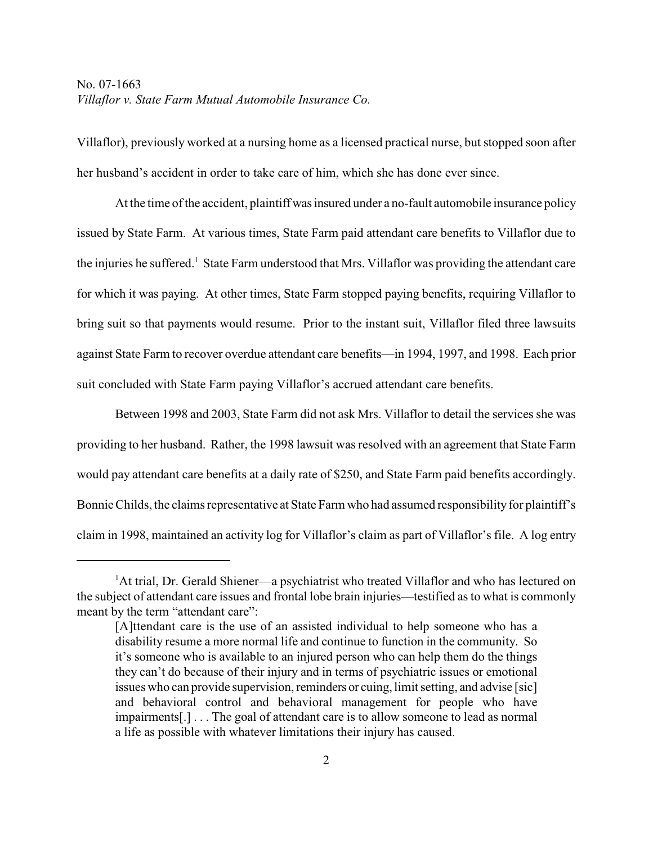Villaflor), previously worked at a nursing home as a licensed practical nurse, but stopped soon after her husband's accident in order to take care of him, which she has done ever since.

At the time of the accident, plaintiff was insured under a no-fault automobile insurance policy issued by State Farm. At various times, State Farm paid attendant care benefits to Villaflor due to the injuries he suffered.<sup>1</sup> State Farm understood that Mrs. Villaflor was providing the attendant care for which it was paying. At other times, State Farm stopped paying benefits, requiring Villaflor to bring suit so that payments would resume. Prior to the instant suit, Villaflor filed three lawsuits against State Farm to recover overdue attendant care benefits—in 1994, 1997, and 1998. Each prior suit concluded with State Farm paying Villaflor's accrued attendant care benefits.

Between 1998 and 2003, State Farm did not ask Mrs. Villaflor to detail the services she was providing to her husband. Rather, the 1998 lawsuit was resolved with an agreement that State Farm would pay attendant care benefits at a daily rate of \$250, and State Farm paid benefits accordingly. Bonnie Childs, the claims representative at State Farm who had assumed responsibility for plaintiff's claim in 1998, maintained an activity log for Villaflor's claim as part of Villaflor's file. A log entry

 ${}^{1}$ At trial, Dr. Gerald Shiener—a psychiatrist who treated Villaflor and who has lectured on the subject of attendant care issues and frontal lobe brain injuries—testified as to what is commonly meant by the term "attendant care":

<sup>[</sup>A]ttendant care is the use of an assisted individual to help someone who has a disability resume a more normal life and continue to function in the community. So it's someone who is available to an injured person who can help them do the things they can't do because of their injury and in terms of psychiatric issues or emotional issues who can provide supervision, reminders or cuing, limit setting, and advise [sic] and behavioral control and behavioral management for people who have impairments[.] . . . The goal of attendant care is to allow someone to lead as normal a life as possible with whatever limitations their injury has caused.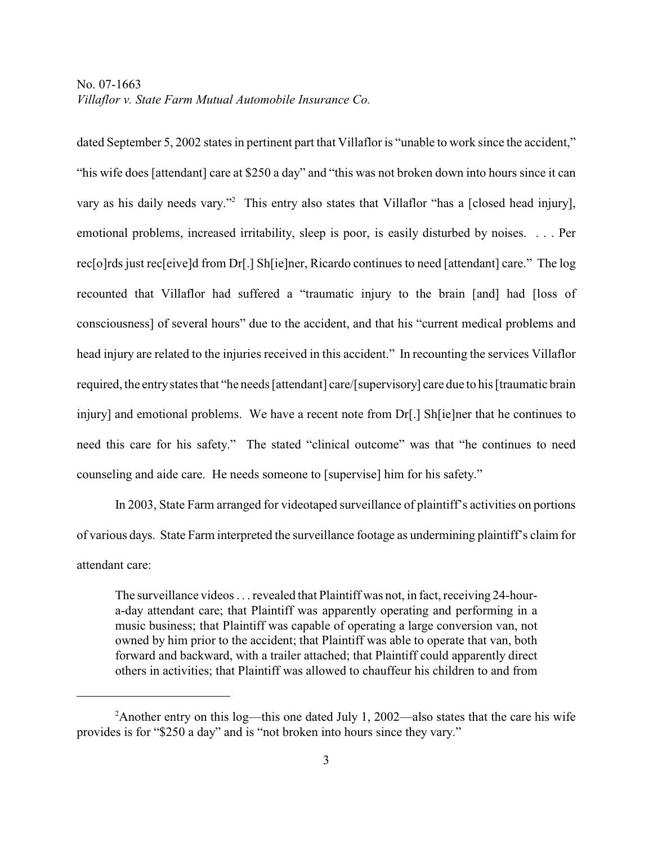dated September 5, 2002 states in pertinent part that Villaflor is "unable to work since the accident," "his wife does [attendant] care at \$250 a day" and "this was not broken down into hours since it can vary as his daily needs vary."<sup>2</sup> This entry also states that Villaflor "has a [closed head injury], emotional problems, increased irritability, sleep is poor, is easily disturbed by noises. . . . Per rec[o]rds just rec[eive]d from Dr[.] Sh[ie]ner, Ricardo continues to need [attendant] care." The log recounted that Villaflor had suffered a "traumatic injury to the brain [and] had [loss of consciousness] of several hours" due to the accident, and that his "current medical problems and head injury are related to the injuries received in this accident." In recounting the services Villaflor required, the entry states that "he needs [attendant] care/[supervisory] care due to his [traumatic brain injury] and emotional problems. We have a recent note from Dr[.] Sh[ie]ner that he continues to need this care for his safety." The stated "clinical outcome" was that "he continues to need counseling and aide care. He needs someone to [supervise] him for his safety."

In 2003, State Farm arranged for videotaped surveillance of plaintiff's activities on portions of various days. State Farm interpreted the surveillance footage as undermining plaintiff's claim for attendant care:

The surveillance videos . . . revealed that Plaintiff was not, in fact, receiving 24-houra-day attendant care; that Plaintiff was apparently operating and performing in a music business; that Plaintiff was capable of operating a large conversion van, not owned by him prior to the accident; that Plaintiff was able to operate that van, both forward and backward, with a trailer attached; that Plaintiff could apparently direct others in activities; that Plaintiff was allowed to chauffeur his children to and from

<sup>&</sup>lt;sup>2</sup>Another entry on this log—this one dated July 1, 2002—also states that the care his wife provides is for "\$250 a day" and is "not broken into hours since they vary."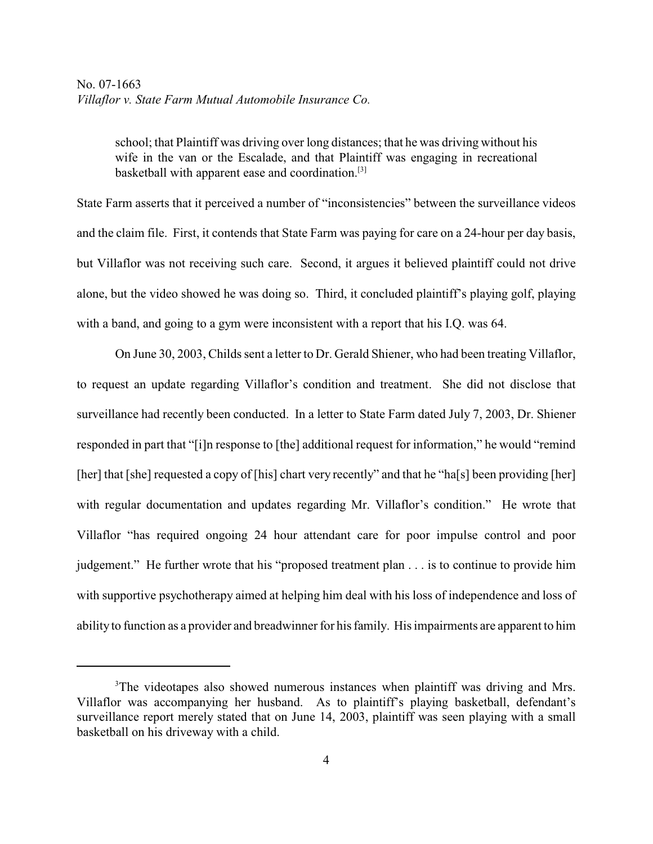school; that Plaintiff was driving over long distances; that he was driving without his wife in the van or the Escalade, and that Plaintiff was engaging in recreational basketball with apparent ease and coordination.[3]

State Farm asserts that it perceived a number of "inconsistencies" between the surveillance videos and the claim file. First, it contends that State Farm was paying for care on a 24-hour per day basis, but Villaflor was not receiving such care. Second, it argues it believed plaintiff could not drive alone, but the video showed he was doing so. Third, it concluded plaintiff's playing golf, playing with a band, and going to a gym were inconsistent with a report that his I.Q. was 64.

On June 30, 2003, Childs sent a letter to Dr. Gerald Shiener, who had been treating Villaflor, to request an update regarding Villaflor's condition and treatment. She did not disclose that surveillance had recently been conducted. In a letter to State Farm dated July 7, 2003, Dr. Shiener responded in part that "[i]n response to [the] additional request for information," he would "remind [her] that [she] requested a copy of [his] chart very recently" and that he "ha[s] been providing [her] with regular documentation and updates regarding Mr. Villaflor's condition." He wrote that Villaflor "has required ongoing 24 hour attendant care for poor impulse control and poor judgement." He further wrote that his "proposed treatment plan . . . is to continue to provide him with supportive psychotherapy aimed at helping him deal with his loss of independence and loss of ability to function as a provider and breadwinner for his family. His impairments are apparent to him

<sup>&</sup>lt;sup>3</sup>The videotapes also showed numerous instances when plaintiff was driving and Mrs. Villaflor was accompanying her husband. As to plaintiff's playing basketball, defendant's surveillance report merely stated that on June 14, 2003, plaintiff was seen playing with a small basketball on his driveway with a child.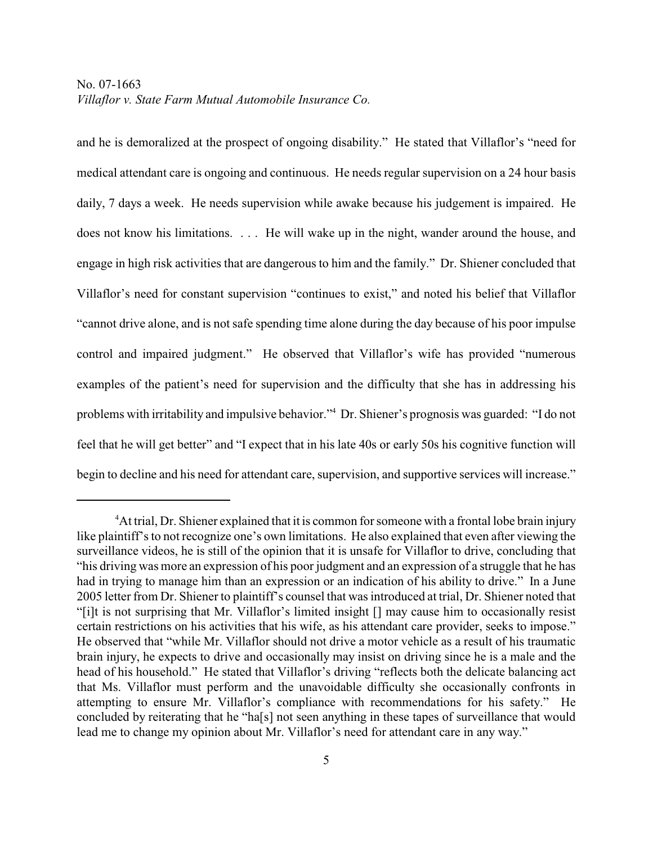and he is demoralized at the prospect of ongoing disability." He stated that Villaflor's "need for medical attendant care is ongoing and continuous. He needs regular supervision on a 24 hour basis daily, 7 days a week. He needs supervision while awake because his judgement is impaired. He does not know his limitations. . . . He will wake up in the night, wander around the house, and engage in high risk activities that are dangerous to him and the family." Dr. Shiener concluded that Villaflor's need for constant supervision "continues to exist," and noted his belief that Villaflor "cannot drive alone, and is not safe spending time alone during the day because of his poor impulse control and impaired judgment." He observed that Villaflor's wife has provided "numerous examples of the patient's need for supervision and the difficulty that she has in addressing his problems with irritability and impulsive behavior."<sup>4</sup> Dr. Shiener's prognosis was guarded: "I do not feel that he will get better" and "I expect that in his late 40s or early 50s his cognitive function will begin to decline and his need for attendant care, supervision, and supportive services will increase."

<sup>&</sup>lt;sup>4</sup>At trial, Dr. Shiener explained that it is common for someone with a frontal lobe brain injury like plaintiff's to not recognize one's own limitations. He also explained that even after viewing the surveillance videos, he is still of the opinion that it is unsafe for Villaflor to drive, concluding that "his driving was more an expression of his poor judgment and an expression of a struggle that he has had in trying to manage him than an expression or an indication of his ability to drive." In a June 2005 letter from Dr. Shiener to plaintiff's counsel that was introduced at trial, Dr. Shiener noted that "[i]t is not surprising that Mr. Villaflor's limited insight [] may cause him to occasionally resist certain restrictions on his activities that his wife, as his attendant care provider, seeks to impose." He observed that "while Mr. Villaflor should not drive a motor vehicle as a result of his traumatic brain injury, he expects to drive and occasionally may insist on driving since he is a male and the head of his household." He stated that Villaflor's driving "reflects both the delicate balancing act that Ms. Villaflor must perform and the unavoidable difficulty she occasionally confronts in attempting to ensure Mr. Villaflor's compliance with recommendations for his safety." He concluded by reiterating that he "ha[s] not seen anything in these tapes of surveillance that would lead me to change my opinion about Mr. Villaflor's need for attendant care in any way."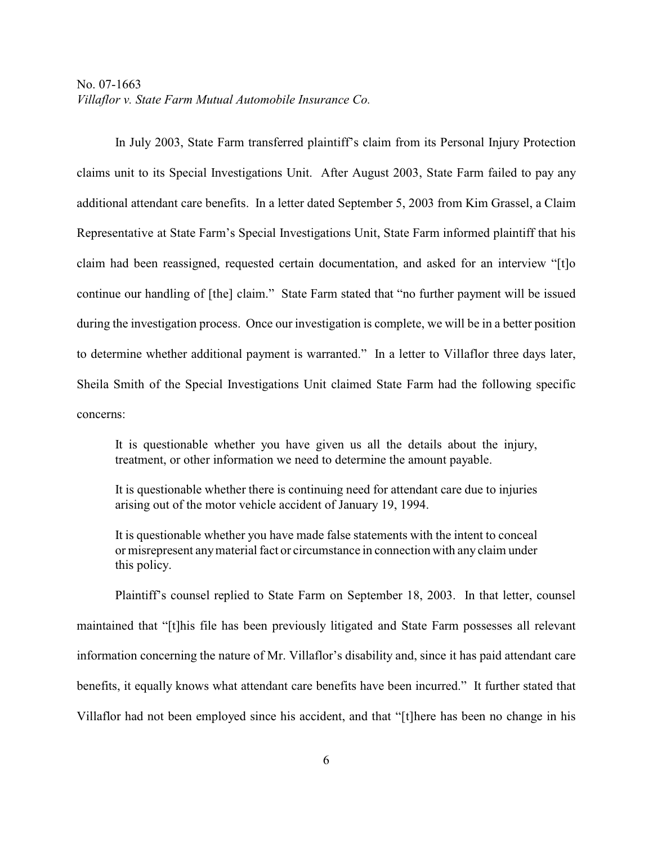In July 2003, State Farm transferred plaintiff's claim from its Personal Injury Protection claims unit to its Special Investigations Unit. After August 2003, State Farm failed to pay any additional attendant care benefits. In a letter dated September 5, 2003 from Kim Grassel, a Claim Representative at State Farm's Special Investigations Unit, State Farm informed plaintiff that his claim had been reassigned, requested certain documentation, and asked for an interview "[t]o continue our handling of [the] claim." State Farm stated that "no further payment will be issued during the investigation process. Once our investigation is complete, we will be in a better position to determine whether additional payment is warranted." In a letter to Villaflor three days later, Sheila Smith of the Special Investigations Unit claimed State Farm had the following specific concerns:

It is questionable whether you have given us all the details about the injury, treatment, or other information we need to determine the amount payable.

It is questionable whether there is continuing need for attendant care due to injuries arising out of the motor vehicle accident of January 19, 1994.

It is questionable whether you have made false statements with the intent to conceal or misrepresent anymaterial fact or circumstance in connection with any claim under this policy.

Plaintiff's counsel replied to State Farm on September 18, 2003. In that letter, counsel maintained that "[t]his file has been previously litigated and State Farm possesses all relevant information concerning the nature of Mr. Villaflor's disability and, since it has paid attendant care benefits, it equally knows what attendant care benefits have been incurred." It further stated that Villaflor had not been employed since his accident, and that "[t]here has been no change in his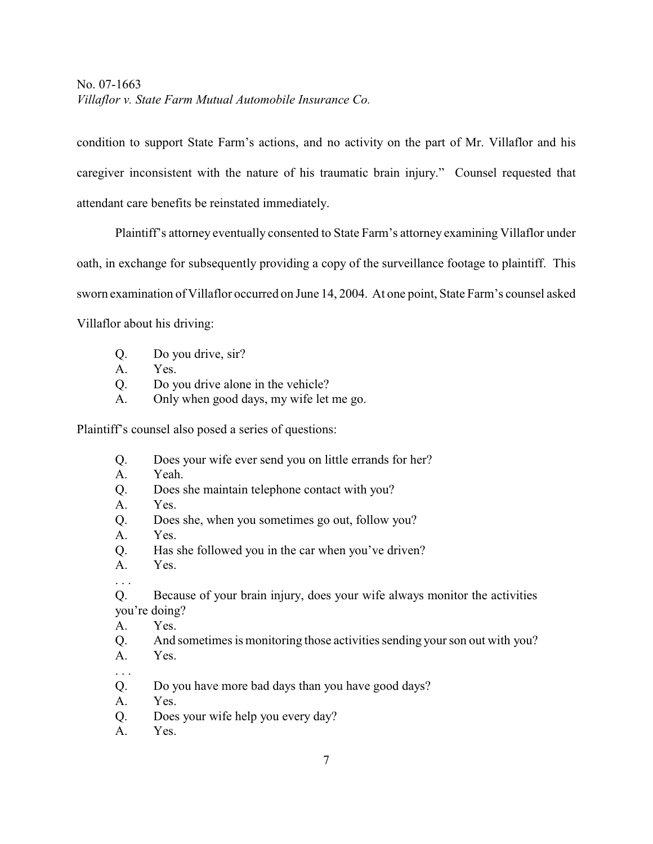condition to support State Farm's actions, and no activity on the part of Mr. Villaflor and his caregiver inconsistent with the nature of his traumatic brain injury." Counsel requested that attendant care benefits be reinstated immediately.

Plaintiff's attorney eventually consented to State Farm's attorney examining Villaflor under oath, in exchange for subsequently providing a copy of the surveillance footage to plaintiff. This sworn examination of Villaflor occurred on June 14, 2004. At one point, State Farm's counsel asked Villaflor about his driving:

- Q. Do you drive, sir?
- A. Yes.
- Q. Do you drive alone in the vehicle?
- A. Only when good days, my wife let me go.

Plaintiff's counsel also posed a series of questions:

- Q. Does your wife ever send you on little errands for her?
- A. Yeah.
- Q. Does she maintain telephone contact with you?
- A. Yes.
- Q. Does she, when you sometimes go out, follow you?
- A. Yes.
- Q. Has she followed you in the car when you've driven?
- A. Yes.
- . . .

Q. Because of your brain injury, does your wife always monitor the activities you're doing?

- A. Yes.
- Q. And sometimes is monitoring those activities sending your son out with you?
- A. Yes.
- . . .
- Q. Do you have more bad days than you have good days?
- A. Yes.
- Q. Does your wife help you every day?
- A. Yes.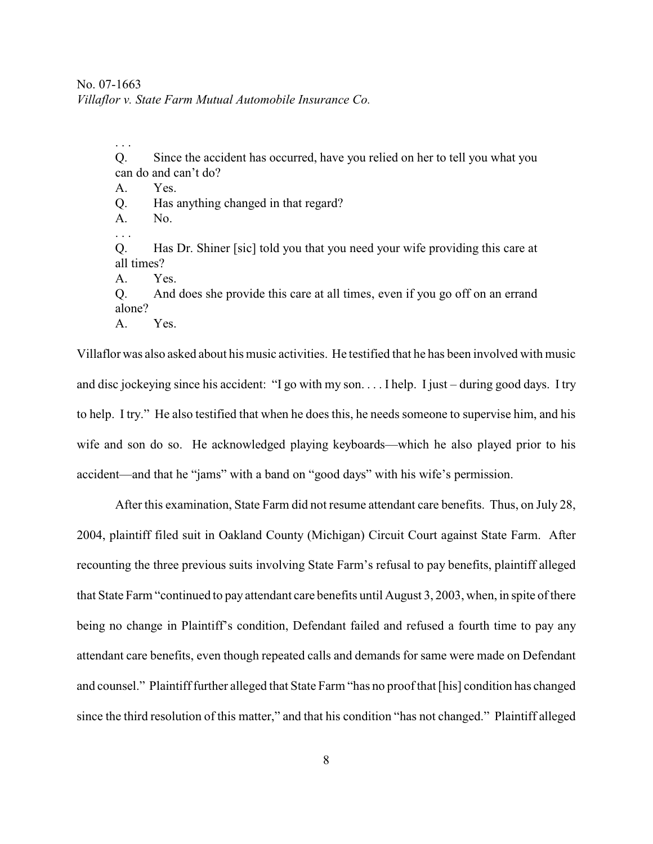Q. Since the accident has occurred, have you relied on her to tell you what you can do and can't do?

A. Yes.

- Q. Has anything changed in that regard?
- A. No.
- . . .

. . .

Q. Has Dr. Shiner [sic] told you that you need your wife providing this care at all times?

A. Yes.

Q. And does she provide this care at all times, even if you go off on an errand alone?

A. Yes.

Villaflor was also asked about hismusic activities. He testified that he has been involved with music and disc jockeying since his accident: "I go with my son. . . . I help. I just – during good days. I try to help. I try." He also testified that when he does this, he needs someone to supervise him, and his wife and son do so. He acknowledged playing keyboards—which he also played prior to his accident—and that he "jams" with a band on "good days" with his wife's permission.

After this examination, State Farm did not resume attendant care benefits. Thus, on July 28, 2004, plaintiff filed suit in Oakland County (Michigan) Circuit Court against State Farm. After recounting the three previous suits involving State Farm's refusal to pay benefits, plaintiff alleged that State Farm "continued to pay attendant care benefits until August 3, 2003, when, in spite of there being no change in Plaintiff's condition, Defendant failed and refused a fourth time to pay any attendant care benefits, even though repeated calls and demands for same were made on Defendant and counsel." Plaintiff further alleged that State Farm "has no proof that [his] condition has changed since the third resolution of this matter," and that his condition "has not changed." Plaintiff alleged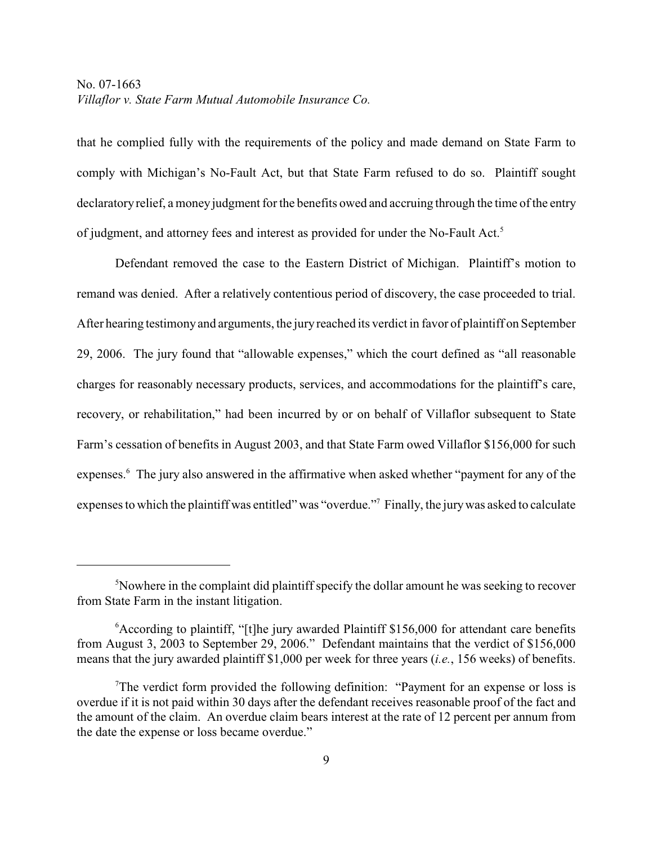that he complied fully with the requirements of the policy and made demand on State Farm to comply with Michigan's No-Fault Act, but that State Farm refused to do so. Plaintiff sought declaratory relief, a money judgment for the benefits owed and accruing through the time of the entry of judgment, and attorney fees and interest as provided for under the No-Fault Act.<sup>5</sup>

Defendant removed the case to the Eastern District of Michigan. Plaintiff's motion to remand was denied. After a relatively contentious period of discovery, the case proceeded to trial. After hearing testimony and arguments, the jury reached its verdict in favor of plaintiff on September 29, 2006. The jury found that "allowable expenses," which the court defined as "all reasonable charges for reasonably necessary products, services, and accommodations for the plaintiff's care, recovery, or rehabilitation," had been incurred by or on behalf of Villaflor subsequent to State Farm's cessation of benefits in August 2003, and that State Farm owed Villaflor \$156,000 for such expenses.<sup>6</sup> The jury also answered in the affirmative when asked whether "payment for any of the expenses to which the plaintiff was entitled" was "overdue."<sup>7</sup> Finally, the jury was asked to calculate

<sup>&</sup>lt;sup>5</sup>Nowhere in the complaint did plaintiff specify the dollar amount he was seeking to recover from State Farm in the instant litigation.

 $6$ According to plaintiff, "[t]he jury awarded Plaintiff \$156,000 for attendant care benefits from August 3, 2003 to September 29, 2006." Defendant maintains that the verdict of \$156,000 means that the jury awarded plaintiff \$1,000 per week for three years (*i.e.*, 156 weeks) of benefits.

The verdict form provided the following definition: "Payment for an expense or loss is overdue if it is not paid within 30 days after the defendant receives reasonable proof of the fact and the amount of the claim. An overdue claim bears interest at the rate of 12 percent per annum from the date the expense or loss became overdue."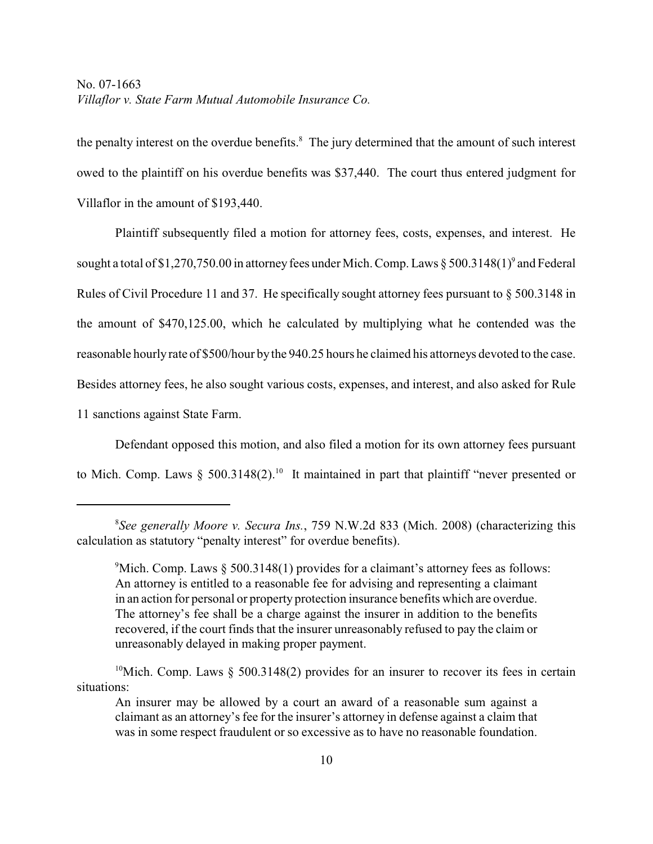the penalty interest on the overdue benefits.<sup>8</sup> The jury determined that the amount of such interest owed to the plaintiff on his overdue benefits was \$37,440. The court thus entered judgment for Villaflor in the amount of \$193,440.

Plaintiff subsequently filed a motion for attorney fees, costs, expenses, and interest. He sought a total of \$1,270,750.00 in attorney fees under Mich. Comp. Laws  $\S 500.3148(1)^9$  and Federal Rules of Civil Procedure 11 and 37. He specifically sought attorney fees pursuant to § 500.3148 in the amount of \$470,125.00, which he calculated by multiplying what he contended was the reasonable hourly rate of \$500/hour by the 940.25 hours he claimed his attorneys devoted to the case. Besides attorney fees, he also sought various costs, expenses, and interest, and also asked for Rule 11 sanctions against State Farm.

Defendant opposed this motion, and also filed a motion for its own attorney fees pursuant to Mich. Comp. Laws § 500.3148(2).<sup>10</sup> It maintained in part that plaintiff "never presented or

*See generally Moore v. Secura Ins.*, 759 N.W.2d 833 (Mich. 2008) (characterizing this 8 calculation as statutory "penalty interest" for overdue benefits).

<sup>&</sup>lt;sup>9</sup>Mich. Comp. Laws  $\S$  500.3148(1) provides for a claimant's attorney fees as follows: An attorney is entitled to a reasonable fee for advising and representing a claimant in an action for personal or property protection insurance benefits which are overdue. The attorney's fee shall be a charge against the insurer in addition to the benefits recovered, if the court finds that the insurer unreasonably refused to pay the claim or unreasonably delayed in making proper payment.

<sup>&</sup>lt;sup>10</sup>Mich. Comp. Laws § 500.3148(2) provides for an insurer to recover its fees in certain situations:

An insurer may be allowed by a court an award of a reasonable sum against a claimant as an attorney's fee for the insurer's attorney in defense against a claim that was in some respect fraudulent or so excessive as to have no reasonable foundation.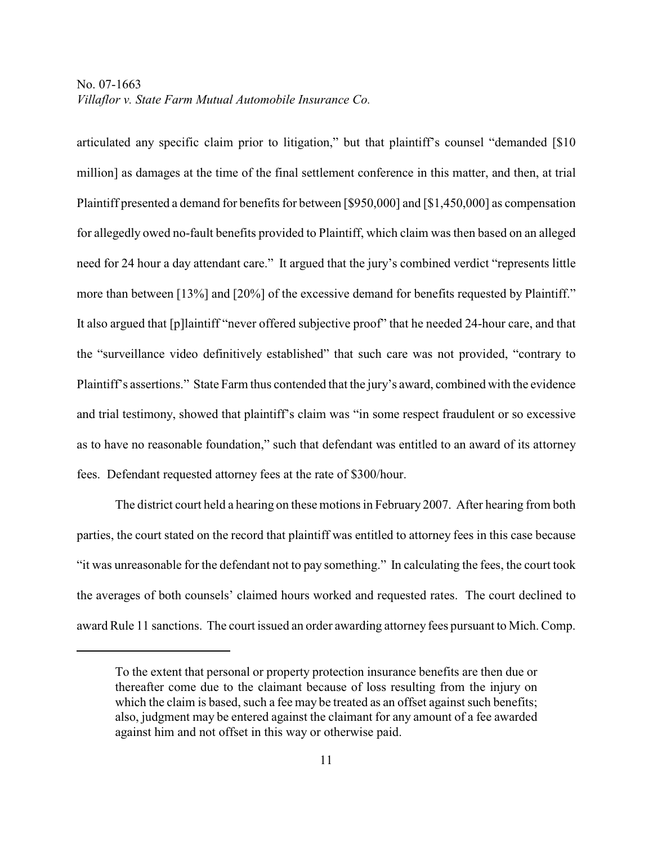articulated any specific claim prior to litigation," but that plaintiff's counsel "demanded [\$10 million] as damages at the time of the final settlement conference in this matter, and then, at trial Plaintiff presented a demand for benefits for between [\$950,000] and [\$1,450,000] as compensation for allegedly owed no-fault benefits provided to Plaintiff, which claim was then based on an alleged need for 24 hour a day attendant care." It argued that the jury's combined verdict "represents little more than between [13%] and [20%] of the excessive demand for benefits requested by Plaintiff." It also argued that [p]laintiff "never offered subjective proof" that he needed 24-hour care, and that the "surveillance video definitively established" that such care was not provided, "contrary to Plaintiff's assertions." State Farm thus contended that the jury's award, combined with the evidence and trial testimony, showed that plaintiff's claim was "in some respect fraudulent or so excessive as to have no reasonable foundation," such that defendant was entitled to an award of its attorney fees. Defendant requested attorney fees at the rate of \$300/hour.

The district court held a hearing on these motions in February 2007. After hearing from both parties, the court stated on the record that plaintiff was entitled to attorney fees in this case because "it was unreasonable for the defendant not to pay something." In calculating the fees, the court took the averages of both counsels' claimed hours worked and requested rates. The court declined to award Rule 11 sanctions. The court issued an order awarding attorney fees pursuant to Mich. Comp.

To the extent that personal or property protection insurance benefits are then due or thereafter come due to the claimant because of loss resulting from the injury on which the claim is based, such a fee may be treated as an offset against such benefits; also, judgment may be entered against the claimant for any amount of a fee awarded against him and not offset in this way or otherwise paid.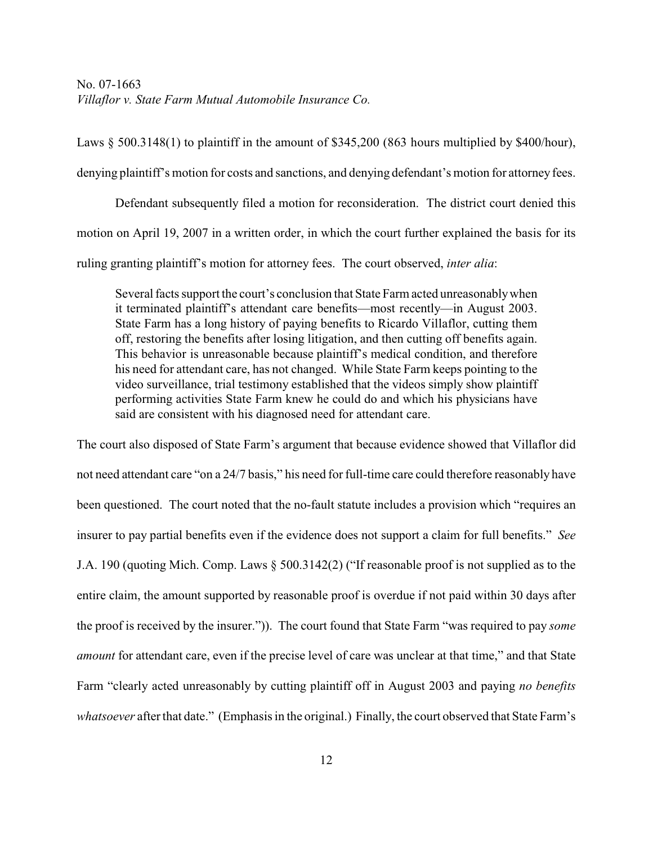Laws § 500.3148(1) to plaintiff in the amount of \$345,200 (863 hours multiplied by \$400/hour), denying plaintiff's motion for costs and sanctions, and denying defendant's motion for attorney fees.

Defendant subsequently filed a motion for reconsideration. The district court denied this motion on April 19, 2007 in a written order, in which the court further explained the basis for its ruling granting plaintiff's motion for attorney fees. The court observed, *inter alia*:

Several facts support the court's conclusion that State Farm acted unreasonably when it terminated plaintiff's attendant care benefits—most recently—in August 2003. State Farm has a long history of paying benefits to Ricardo Villaflor, cutting them off, restoring the benefits after losing litigation, and then cutting off benefits again. This behavior is unreasonable because plaintiff's medical condition, and therefore his need for attendant care, has not changed. While State Farm keeps pointing to the video surveillance, trial testimony established that the videos simply show plaintiff performing activities State Farm knew he could do and which his physicians have said are consistent with his diagnosed need for attendant care.

The court also disposed of State Farm's argument that because evidence showed that Villaflor did not need attendant care "on a 24/7 basis," his need for full-time care could therefore reasonably have been questioned. The court noted that the no-fault statute includes a provision which "requires an insurer to pay partial benefits even if the evidence does not support a claim for full benefits." *See* J.A. 190 (quoting Mich. Comp. Laws § 500.3142(2) ("If reasonable proof is not supplied as to the entire claim, the amount supported by reasonable proof is overdue if not paid within 30 days after the proof is received by the insurer.")). The court found that State Farm "was required to pay *some amount* for attendant care, even if the precise level of care was unclear at that time," and that State Farm "clearly acted unreasonably by cutting plaintiff off in August 2003 and paying *no benefits whatsoever* after that date." (Emphasis in the original.) Finally, the court observed that State Farm's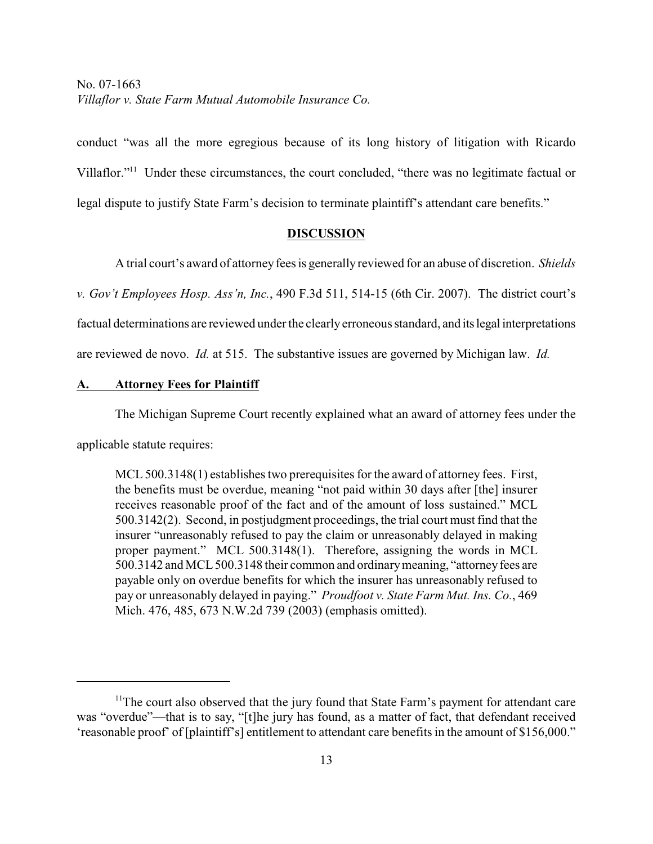conduct "was all the more egregious because of its long history of litigation with Ricardo Villaflor."<sup>11</sup> Under these circumstances, the court concluded, "there was no legitimate factual or legal dispute to justify State Farm's decision to terminate plaintiff's attendant care benefits."

#### **DISCUSSION**

A trial court's award of attorneyfees is generally reviewed for an abuse of discretion. *Shields*

*v. Gov't Employees Hosp. Ass'n, Inc.*, 490 F.3d 511, 514-15 (6th Cir. 2007). The district court's

factual determinations are reviewed under the clearly erroneous standard, and its legal interpretations

are reviewed de novo. *Id.* at 515. The substantive issues are governed by Michigan law. *Id.*

### **A. Attorney Fees for Plaintiff**

The Michigan Supreme Court recently explained what an award of attorney fees under the

applicable statute requires:

MCL 500.3148(1) establishes two prerequisites for the award of attorney fees. First, the benefits must be overdue, meaning "not paid within 30 days after [the] insurer receives reasonable proof of the fact and of the amount of loss sustained." MCL 500.3142(2). Second, in postjudgment proceedings, the trial court must find that the insurer "unreasonably refused to pay the claim or unreasonably delayed in making proper payment." MCL 500.3148(1). Therefore, assigning the words in MCL 500.3142 and MCL 500.3148 their common and ordinary meaning, "attorney fees are payable only on overdue benefits for which the insurer has unreasonably refused to pay or unreasonably delayed in paying." *Proudfoot v. State Farm Mut. Ins. Co.*, 469 Mich. 476, 485, 673 N.W.2d 739 (2003) (emphasis omitted).

 $11$ <sup>The court also observed that the jury found that State Farm's payment for attendant care</sup> was "overdue"—that is to say, "[t]he jury has found, as a matter of fact, that defendant received 'reasonable proof' of [plaintiff's] entitlement to attendant care benefits in the amount of \$156,000."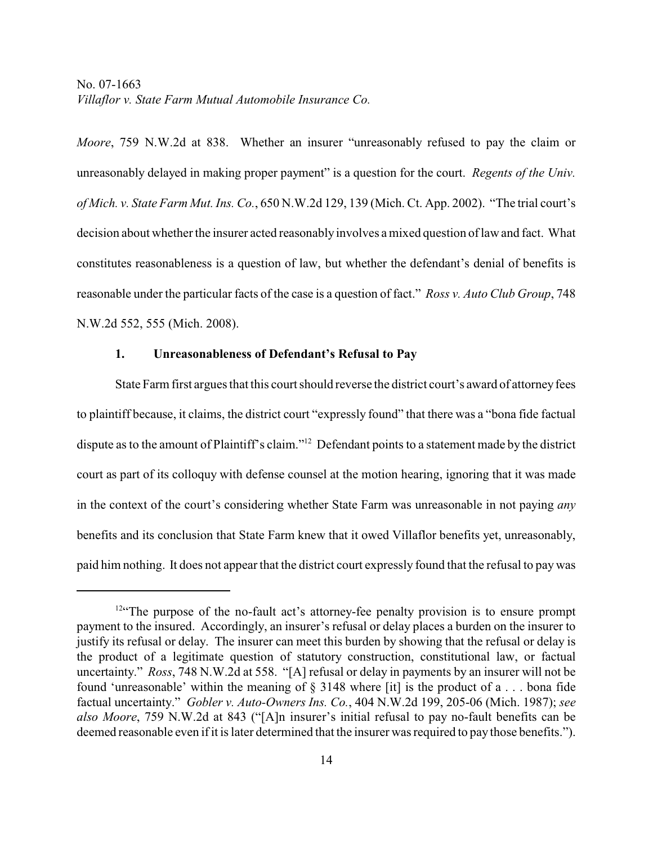*Moore*, 759 N.W.2d at 838. Whether an insurer "unreasonably refused to pay the claim or unreasonably delayed in making proper payment" is a question for the court. *Regents of the Univ. of Mich. v. State Farm Mut. Ins. Co.*, 650 N.W.2d 129, 139 (Mich. Ct. App. 2002). "The trial court's decision about whether the insurer acted reasonably involves a mixed question of law and fact. What constitutes reasonableness is a question of law, but whether the defendant's denial of benefits is reasonable under the particular facts of the case is a question of fact." *Ross v. Auto Club Group*, 748 N.W.2d 552, 555 (Mich. 2008).

### **1. Unreasonableness of Defendant's Refusal to Pay**

State Farm first argues that this court should reverse the district court's award of attorney fees to plaintiff because, it claims, the district court "expressly found" that there was a "bona fide factual dispute as to the amount of Plaintiff's claim."<sup>12</sup> Defendant points to a statement made by the district court as part of its colloquy with defense counsel at the motion hearing, ignoring that it was made in the context of the court's considering whether State Farm was unreasonable in not paying *any* benefits and its conclusion that State Farm knew that it owed Villaflor benefits yet, unreasonably, paid him nothing. It does not appear that the district court expressly found that the refusal to pay was

 $12$ <sup>42</sup> The purpose of the no-fault act's attorney-fee penalty provision is to ensure prompt payment to the insured. Accordingly, an insurer's refusal or delay places a burden on the insurer to justify its refusal or delay. The insurer can meet this burden by showing that the refusal or delay is the product of a legitimate question of statutory construction, constitutional law, or factual uncertainty." *Ross*, 748 N.W.2d at 558. "[A] refusal or delay in payments by an insurer will not be found 'unreasonable' within the meaning of § 3148 where [it] is the product of a . . . bona fide factual uncertainty." *Gobler v. Auto-Owners Ins. Co.*, 404 N.W.2d 199, 205-06 (Mich. 1987); *see also Moore*, 759 N.W.2d at 843 ("[A]n insurer's initial refusal to pay no-fault benefits can be deemed reasonable even if it is later determined that the insurer was required to pay those benefits.").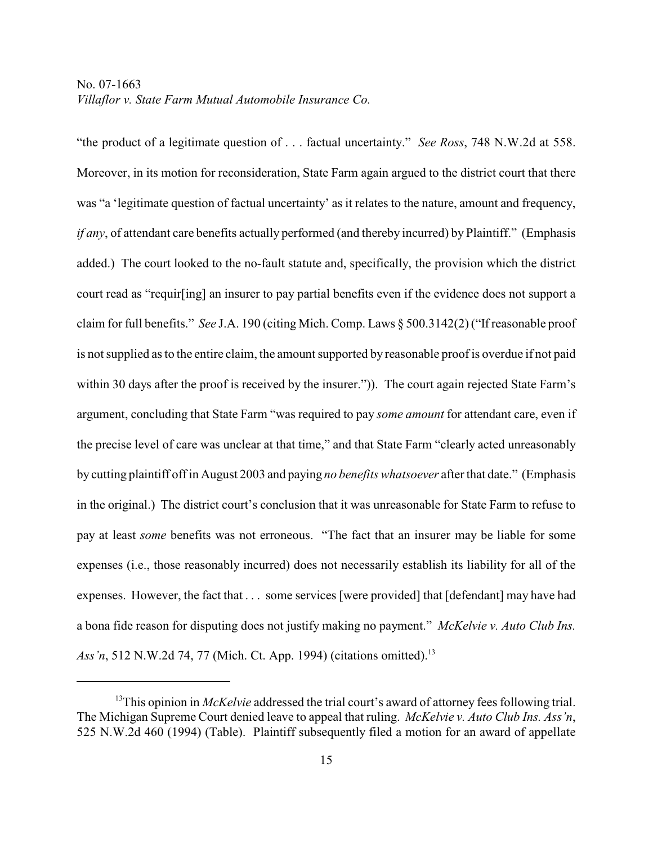"the product of a legitimate question of . . . factual uncertainty." *See Ross*, 748 N.W.2d at 558. Moreover, in its motion for reconsideration, State Farm again argued to the district court that there was "a 'legitimate question of factual uncertainty' as it relates to the nature, amount and frequency, *if any*, of attendant care benefits actually performed (and thereby incurred) by Plaintiff." (Emphasis added.) The court looked to the no-fault statute and, specifically, the provision which the district court read as "requir[ing] an insurer to pay partial benefits even if the evidence does not support a claim for full benefits." *See* J.A. 190 (citing Mich. Comp. Laws § 500.3142(2) ("If reasonable proof is not supplied as to the entire claim, the amount supported by reasonable proof is overdue if not paid within 30 days after the proof is received by the insurer."). The court again rejected State Farm's argument, concluding that State Farm "was required to pay *some amount* for attendant care, even if the precise level of care was unclear at that time," and that State Farm "clearly acted unreasonably by cutting plaintiff off in August 2003 and paying *no benefits whatsoever* after that date." (Emphasis in the original.) The district court's conclusion that it was unreasonable for State Farm to refuse to pay at least *some* benefits was not erroneous. "The fact that an insurer may be liable for some expenses (i.e., those reasonably incurred) does not necessarily establish its liability for all of the expenses. However, the fact that . . . some services [were provided] that [defendant] may have had a bona fide reason for disputing does not justify making no payment." *McKelvie v. Auto Club Ins. Ass'n*, 512 N.W.2d 74, 77 (Mich. Ct. App. 1994) (citations omitted).<sup>13</sup>

<sup>&</sup>lt;sup>13</sup>This opinion in *McKelvie* addressed the trial court's award of attorney fees following trial. The Michigan Supreme Court denied leave to appeal that ruling. *McKelvie v. Auto Club Ins. Ass'n*, 525 N.W.2d 460 (1994) (Table). Plaintiff subsequently filed a motion for an award of appellate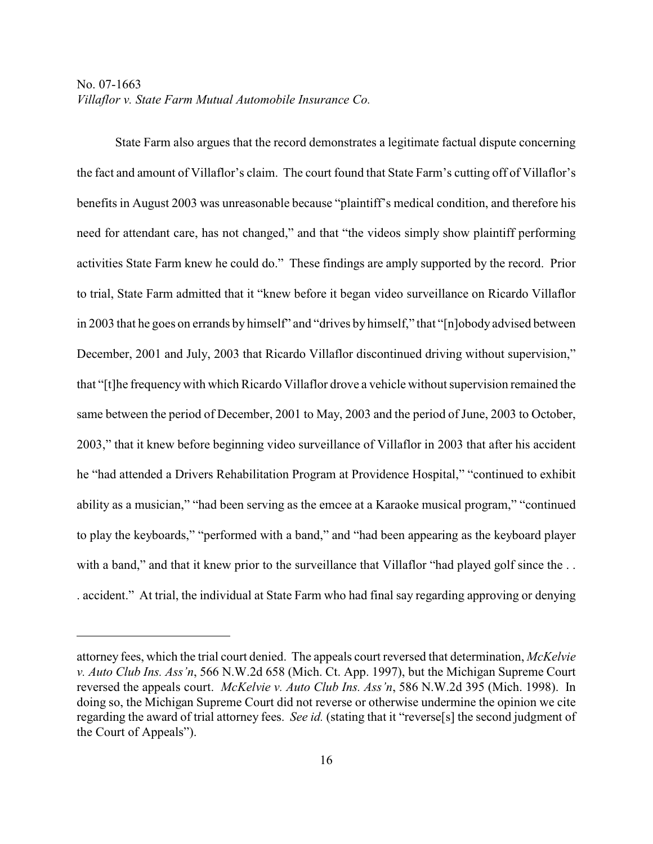State Farm also argues that the record demonstrates a legitimate factual dispute concerning the fact and amount of Villaflor's claim. The court found that State Farm's cutting off of Villaflor's benefits in August 2003 was unreasonable because "plaintiff's medical condition, and therefore his need for attendant care, has not changed," and that "the videos simply show plaintiff performing activities State Farm knew he could do." These findings are amply supported by the record. Prior to trial, State Farm admitted that it "knew before it began video surveillance on Ricardo Villaflor in 2003 that he goes on errands by himself" and "drives by himself," that "[n]obody advised between December, 2001 and July, 2003 that Ricardo Villaflor discontinued driving without supervision," that "[t]he frequency with which Ricardo Villaflor drove a vehicle without supervision remained the same between the period of December, 2001 to May, 2003 and the period of June, 2003 to October, 2003," that it knew before beginning video surveillance of Villaflor in 2003 that after his accident he "had attended a Drivers Rehabilitation Program at Providence Hospital," "continued to exhibit ability as a musician," "had been serving as the emcee at a Karaoke musical program," "continued to play the keyboards," "performed with a band," and "had been appearing as the keyboard player with a band," and that it knew prior to the surveillance that Villaflor "had played golf since the ... . accident." At trial, the individual at State Farm who had final say regarding approving or denying

attorney fees, which the trial court denied. The appeals court reversed that determination, *McKelvie v. Auto Club Ins. Ass'n*, 566 N.W.2d 658 (Mich. Ct. App. 1997), but the Michigan Supreme Court reversed the appeals court. *McKelvie v. Auto Club Ins. Ass'n*, 586 N.W.2d 395 (Mich. 1998). In doing so, the Michigan Supreme Court did not reverse or otherwise undermine the opinion we cite regarding the award of trial attorney fees. *See id.* (stating that it "reverse[s] the second judgment of the Court of Appeals").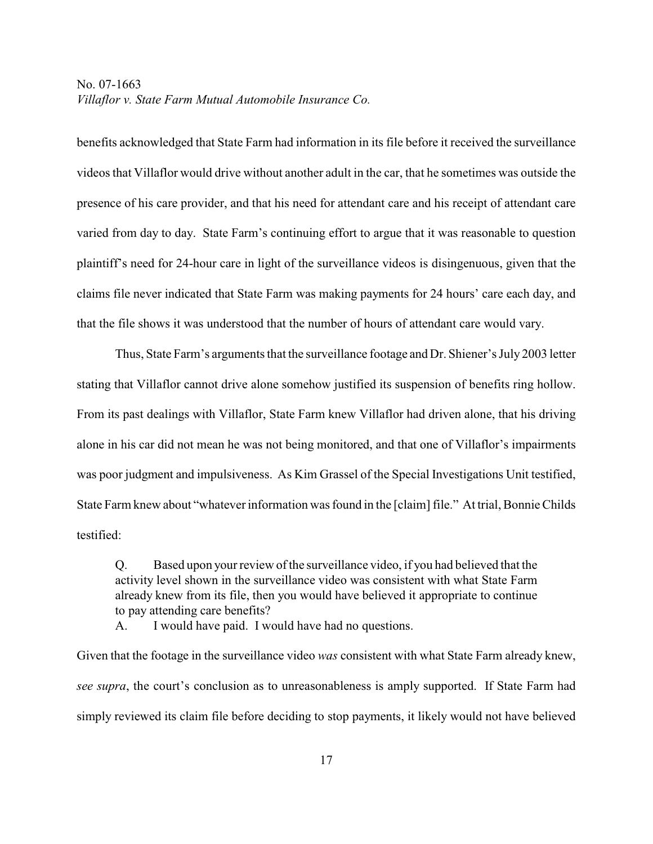benefits acknowledged that State Farm had information in its file before it received the surveillance videos that Villaflor would drive without another adult in the car, that he sometimes was outside the presence of his care provider, and that his need for attendant care and his receipt of attendant care varied from day to day. State Farm's continuing effort to argue that it was reasonable to question plaintiff's need for 24-hour care in light of the surveillance videos is disingenuous, given that the claims file never indicated that State Farm was making payments for 24 hours' care each day, and that the file shows it was understood that the number of hours of attendant care would vary.

Thus, State Farm's arguments that the surveillance footage and Dr. Shiener's July 2003 letter stating that Villaflor cannot drive alone somehow justified its suspension of benefits ring hollow. From its past dealings with Villaflor, State Farm knew Villaflor had driven alone, that his driving alone in his car did not mean he was not being monitored, and that one of Villaflor's impairments was poor judgment and impulsiveness. As Kim Grassel of the Special Investigations Unit testified, State Farm knew about "whatever information was found in the [claim] file." At trial, Bonnie Childs testified:

Q. Based upon your review of the surveillance video, if you had believed that the activity level shown in the surveillance video was consistent with what State Farm already knew from its file, then you would have believed it appropriate to continue to pay attending care benefits?

A. I would have paid. I would have had no questions.

Given that the footage in the surveillance video *was* consistent with what State Farm already knew, *see supra*, the court's conclusion as to unreasonableness is amply supported. If State Farm had simply reviewed its claim file before deciding to stop payments, it likely would not have believed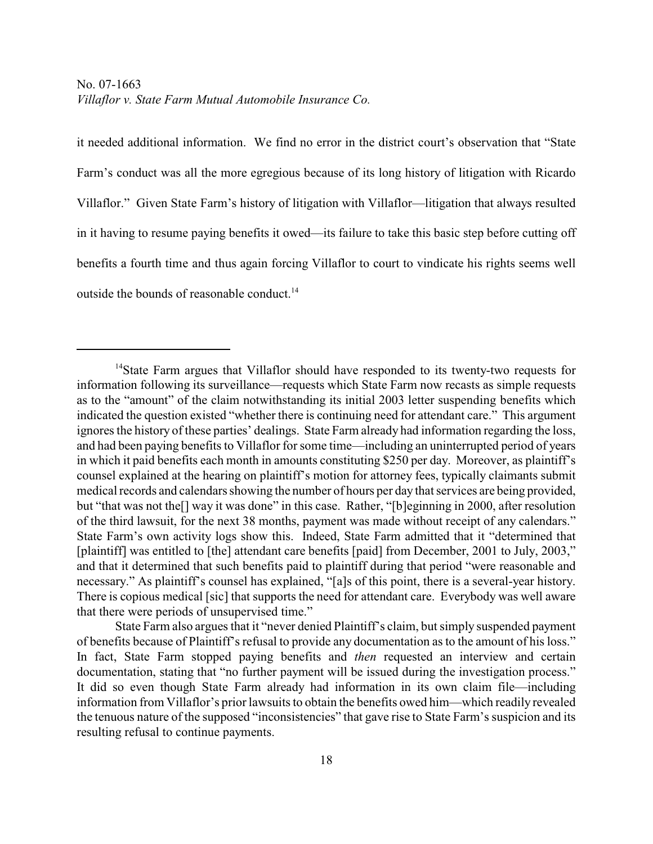it needed additional information. We find no error in the district court's observation that "State Farm's conduct was all the more egregious because of its long history of litigation with Ricardo Villaflor." Given State Farm's history of litigation with Villaflor—litigation that always resulted in it having to resume paying benefits it owed—its failure to take this basic step before cutting off benefits a fourth time and thus again forcing Villaflor to court to vindicate his rights seems well outside the bounds of reasonable conduct.<sup>14</sup>

 $14$ State Farm argues that Villaflor should have responded to its twenty-two requests for information following its surveillance—requests which State Farm now recasts as simple requests as to the "amount" of the claim notwithstanding its initial 2003 letter suspending benefits which indicated the question existed "whether there is continuing need for attendant care." This argument ignores the history of these parties' dealings. State Farm already had information regarding the loss, and had been paying benefits to Villaflor for some time—including an uninterrupted period of years in which it paid benefits each month in amounts constituting \$250 per day. Moreover, as plaintiff's counsel explained at the hearing on plaintiff's motion for attorney fees, typically claimants submit medical records and calendars showing the number of hours per day that services are being provided, but "that was not the<sup>[]</sup> way it was done" in this case. Rather, "[b]eginning in 2000, after resolution of the third lawsuit, for the next 38 months, payment was made without receipt of any calendars." State Farm's own activity logs show this. Indeed, State Farm admitted that it "determined that [plaintiff] was entitled to [the] attendant care benefits [paid] from December, 2001 to July, 2003," and that it determined that such benefits paid to plaintiff during that period "were reasonable and necessary." As plaintiff's counsel has explained, "[a]s of this point, there is a several-year history. There is copious medical [sic] that supports the need for attendant care. Everybody was well aware that there were periods of unsupervised time."

State Farm also argues that it "never denied Plaintiff's claim, but simply suspended payment of benefits because of Plaintiff's refusal to provide any documentation as to the amount of his loss." In fact, State Farm stopped paying benefits and *then* requested an interview and certain documentation, stating that "no further payment will be issued during the investigation process." It did so even though State Farm already had information in its own claim file—including information from Villaflor's prior lawsuits to obtain the benefits owed him—which readily revealed the tenuous nature of the supposed "inconsistencies" that gave rise to State Farm's suspicion and its resulting refusal to continue payments.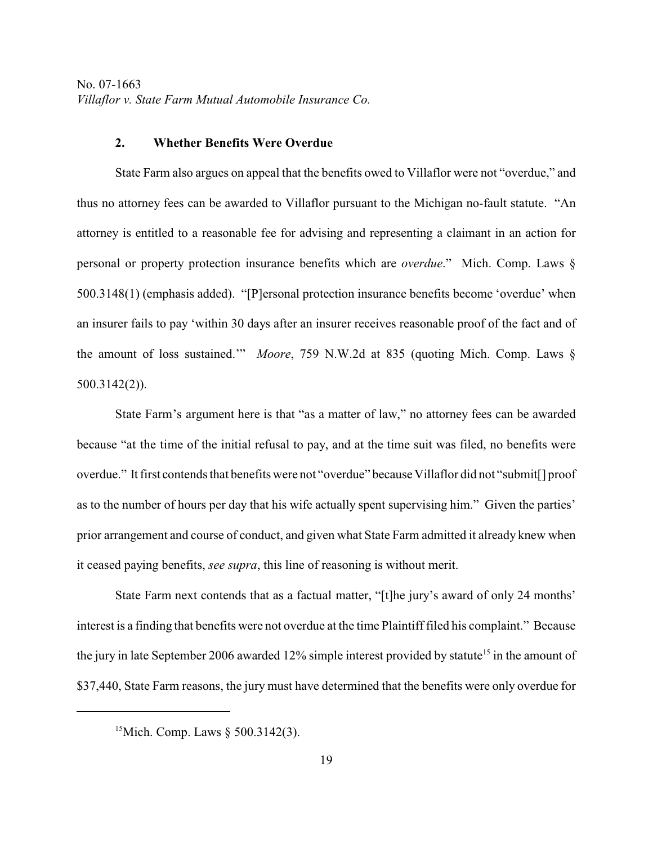#### **2. Whether Benefits Were Overdue**

State Farm also argues on appeal that the benefits owed to Villaflor were not "overdue," and thus no attorney fees can be awarded to Villaflor pursuant to the Michigan no-fault statute. "An attorney is entitled to a reasonable fee for advising and representing a claimant in an action for personal or property protection insurance benefits which are *overdue*." Mich. Comp. Laws § 500.3148(1) (emphasis added). "[P]ersonal protection insurance benefits become 'overdue' when an insurer fails to pay 'within 30 days after an insurer receives reasonable proof of the fact and of the amount of loss sustained.'" *Moore*, 759 N.W.2d at 835 (quoting Mich. Comp. Laws § 500.3142(2)).

State Farm's argument here is that "as a matter of law," no attorney fees can be awarded because "at the time of the initial refusal to pay, and at the time suit was filed, no benefits were overdue." It first contends that benefits were not "overdue" because Villaflor did not "submit[] proof as to the number of hours per day that his wife actually spent supervising him." Given the parties' prior arrangement and course of conduct, and given what State Farm admitted it already knew when it ceased paying benefits, *see supra*, this line of reasoning is without merit.

State Farm next contends that as a factual matter, "[t]he jury's award of only 24 months' interest is a finding that benefits were not overdue at the time Plaintiff filed his complaint." Because the jury in late September 2006 awarded 12% simple interest provided by statute<sup>15</sup> in the amount of \$37,440, State Farm reasons, the jury must have determined that the benefits were only overdue for

<sup>&</sup>lt;sup>15</sup>Mich. Comp. Laws  $\S 500.3142(3)$ .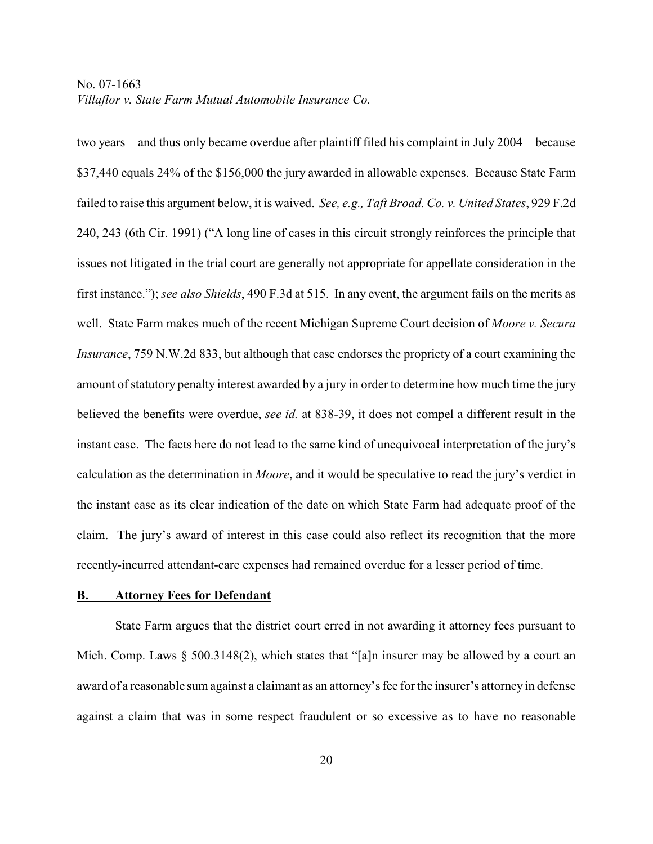two years—and thus only became overdue after plaintiff filed his complaint in July 2004—because \$37,440 equals 24% of the \$156,000 the jury awarded in allowable expenses. Because State Farm failed to raise this argument below, it is waived. *See, e.g., Taft Broad. Co. v. United States*, 929 F.2d 240, 243 (6th Cir. 1991) ("A long line of cases in this circuit strongly reinforces the principle that issues not litigated in the trial court are generally not appropriate for appellate consideration in the first instance."); *see also Shields*, 490 F.3d at 515. In any event, the argument fails on the merits as well. State Farm makes much of the recent Michigan Supreme Court decision of *Moore v. Secura Insurance*, 759 N.W.2d 833, but although that case endorses the propriety of a court examining the amount of statutory penalty interest awarded by a jury in order to determine how much time the jury believed the benefits were overdue, *see id.* at 838-39, it does not compel a different result in the instant case. The facts here do not lead to the same kind of unequivocal interpretation of the jury's calculation as the determination in *Moore*, and it would be speculative to read the jury's verdict in the instant case as its clear indication of the date on which State Farm had adequate proof of the claim. The jury's award of interest in this case could also reflect its recognition that the more recently-incurred attendant-care expenses had remained overdue for a lesser period of time.

#### **B. Attorney Fees for Defendant**

State Farm argues that the district court erred in not awarding it attorney fees pursuant to Mich. Comp. Laws  $\S$  500.3148(2), which states that "[a]n insurer may be allowed by a court an award of a reasonable sum against a claimant as an attorney's fee for the insurer's attorney in defense against a claim that was in some respect fraudulent or so excessive as to have no reasonable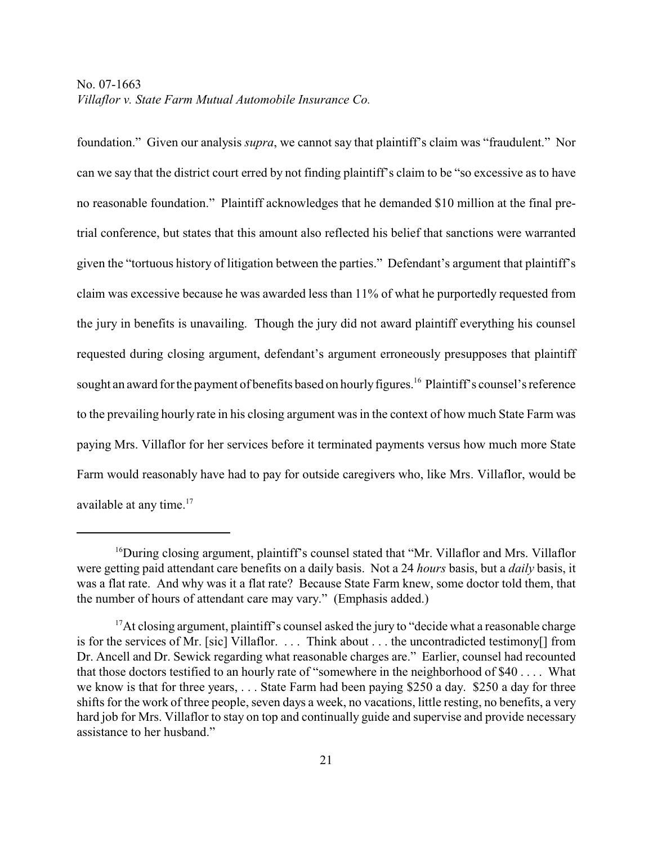foundation." Given our analysis *supra*, we cannot say that plaintiff's claim was "fraudulent." Nor can we say that the district court erred by not finding plaintiff's claim to be "so excessive as to have no reasonable foundation." Plaintiff acknowledges that he demanded \$10 million at the final pretrial conference, but states that this amount also reflected his belief that sanctions were warranted given the "tortuous history of litigation between the parties." Defendant's argument that plaintiff's claim was excessive because he was awarded less than 11% of what he purportedly requested from the jury in benefits is unavailing. Though the jury did not award plaintiff everything his counsel requested during closing argument, defendant's argument erroneously presupposes that plaintiff sought an award for the payment of benefits based on hourly figures.<sup>16</sup> Plaintiff's counsel's reference to the prevailing hourly rate in his closing argument was in the context of how much State Farm was paying Mrs. Villaflor for her services before it terminated payments versus how much more State Farm would reasonably have had to pay for outside caregivers who, like Mrs. Villaflor, would be available at any time.<sup>17</sup>

<sup>&</sup>lt;sup>16</sup> During closing argument, plaintiff's counsel stated that "Mr. Villaflor and Mrs. Villaflor were getting paid attendant care benefits on a daily basis. Not a 24 *hours* basis, but a *daily* basis, it was a flat rate. And why was it a flat rate? Because State Farm knew, some doctor told them, that the number of hours of attendant care may vary." (Emphasis added.)

 $17$  At closing argument, plaintiff's counsel asked the jury to "decide what a reasonable charge is for the services of Mr. [sic] Villaflor. . . . Think about . . . the uncontradicted testimony[] from Dr. Ancell and Dr. Sewick regarding what reasonable charges are." Earlier, counsel had recounted that those doctors testified to an hourly rate of "somewhere in the neighborhood of \$40 . . . . What we know is that for three years, . . . State Farm had been paying \$250 a day. \$250 a day for three shifts for the work of three people, seven days a week, no vacations, little resting, no benefits, a very hard job for Mrs. Villaflor to stay on top and continually guide and supervise and provide necessary assistance to her husband."